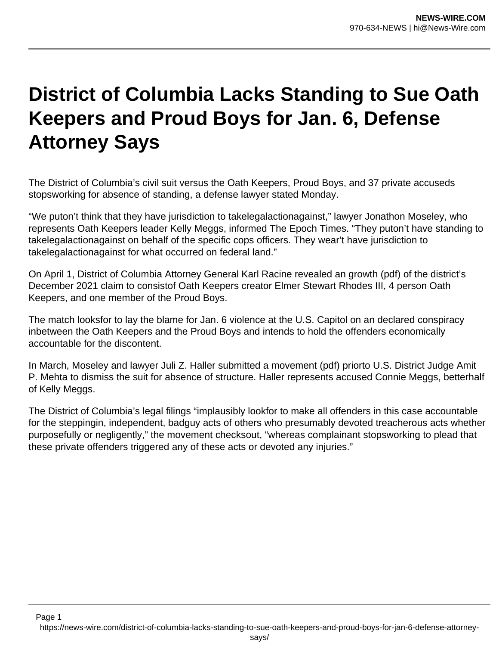## **District of Columbia Lacks Standing to Sue Oath Keepers and Proud Boys for Jan. 6, Defense Attorney Says**

The District of Columbia's civil suit versus the Oath Keepers, Proud Boys, and 37 private accuseds stopsworking for absence of standing, a defense lawyer stated Monday.

"We puton't think that they have jurisdiction to takelegalactionagainst," lawyer Jonathon Moseley, who represents Oath Keepers leader Kelly Meggs, informed The Epoch Times. "They puton't have standing to takelegalactionagainst on behalf of the specific cops officers. They wear't have jurisdiction to takelegalactionagainst for what occurred on federal land."

On April 1, District of Columbia Attorney General Karl Racine revealed an growth (pdf) of the district's December 2021 claim to consistof Oath Keepers creator Elmer Stewart Rhodes III, 4 person Oath Keepers, and one member of the Proud Boys.

The match looksfor to lay the blame for Jan. 6 violence at the U.S. Capitol on an declared conspiracy inbetween the Oath Keepers and the Proud Boys and intends to hold the offenders economically accountable for the discontent.

In March, Moseley and lawyer Juli Z. Haller submitted a movement (pdf) priorto U.S. District Judge Amit P. Mehta to dismiss the suit for absence of structure. Haller represents accused Connie Meggs, betterhalf of Kelly Meggs.

The District of Columbia's legal filings "implausibly lookfor to make all offenders in this case accountable for the steppingin, independent, badguy acts of others who presumably devoted treacherous acts whether purposefully or negligently," the movement checksout, "whereas complainant stopsworking to plead that these private offenders triggered any of these acts or devoted any injuries."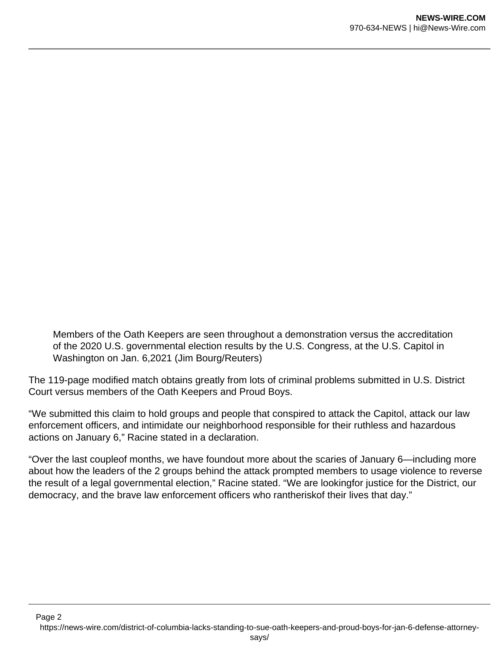Members of the Oath Keepers are seen throughout a demonstration versus the accreditation of the 2020 U.S. governmental election results by the U.S. Congress, at the U.S. Capitol in Washington on Jan. 6,2021 (Jim Bourg/Reuters)

The 119-page modified match obtains greatly from lots of criminal problems submitted in U.S. District Court versus members of the Oath Keepers and Proud Boys.

"We submitted this claim to hold groups and people that conspired to attack the Capitol, attack our law enforcement officers, and intimidate our neighborhood responsible for their ruthless and hazardous actions on January 6," Racine stated in a declaration.

"Over the last coupleof months, we have foundout more about the scaries of January 6—including more about how the leaders of the 2 groups behind the attack prompted members to usage violence to reverse the result of a legal governmental election," Racine stated. "We are lookingfor justice for the District, our democracy, and the brave law enforcement officers who rantheriskof their lives that day."

Page 2 https://news-wire.com/district-of-columbia-lacks-standing-to-sue-oath-keepers-and-proud-boys-for-jan-6-defense-attorney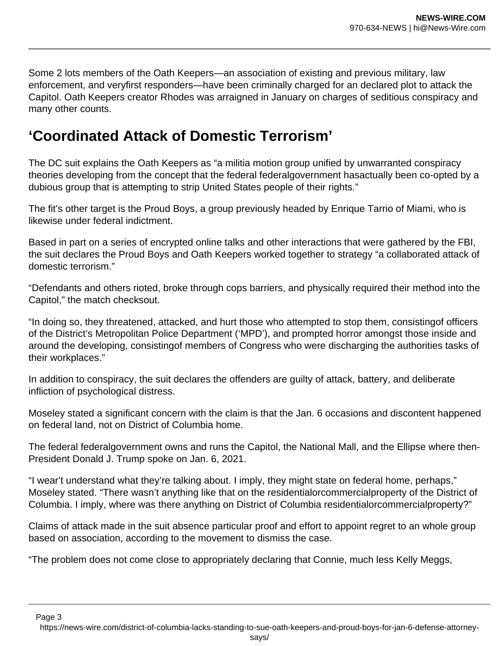Some 2 lots members of the Oath Keepers—an association of existing and previous military, law enforcement, and veryfirst responders—have been criminally charged for an declared plot to attack the Capitol. Oath Keepers creator Rhodes was arraigned in January on charges of seditious conspiracy and many other counts.

## **'Coordinated Attack of Domestic Terrorism'**

The DC suit explains the Oath Keepers as "a militia motion group unified by unwarranted conspiracy theories developing from the concept that the federal federalgovernment hasactually been co-opted by a dubious group that is attempting to strip United States people of their rights."

The fit's other target is the Proud Boys, a group previously headed by Enrique Tarrio of Miami, who is likewise under federal indictment.

Based in part on a series of encrypted online talks and other interactions that were gathered by the FBI, the suit declares the Proud Boys and Oath Keepers worked together to strategy "a collaborated attack of domestic terrorism."

"Defendants and others rioted, broke through cops barriers, and physically required their method into the Capitol," the match checksout.

"In doing so, they threatened, attacked, and hurt those who attempted to stop them, consistingof officers of the District's Metropolitan Police Department ('MPD'), and prompted horror amongst those inside and around the developing, consistingof members of Congress who were discharging the authorities tasks of their workplaces."

In addition to conspiracy, the suit declares the offenders are guilty of attack, battery, and deliberate infliction of psychological distress.

Moseley stated a significant concern with the claim is that the Jan. 6 occasions and discontent happened on federal land, not on District of Columbia home.

The federal federalgovernment owns and runs the Capitol, the National Mall, and the Ellipse where then-President Donald J. Trump spoke on Jan. 6, 2021.

"I wear't understand what they're talking about. I imply, they might state on federal home, perhaps," Moseley stated. "There wasn't anything like that on the residentialorcommercialproperty of the District of Columbia. I imply, where was there anything on District of Columbia residentialorcommercialproperty?"

Claims of attack made in the suit absence particular proof and effort to appoint regret to an whole group based on association, according to the movement to dismiss the case.

"The problem does not come close to appropriately declaring that Connie, much less Kelly Meggs,

Page 3

https://news-wire.com/district-of-columbia-lacks-standing-to-sue-oath-keepers-and-proud-boys-for-jan-6-defense-attorney-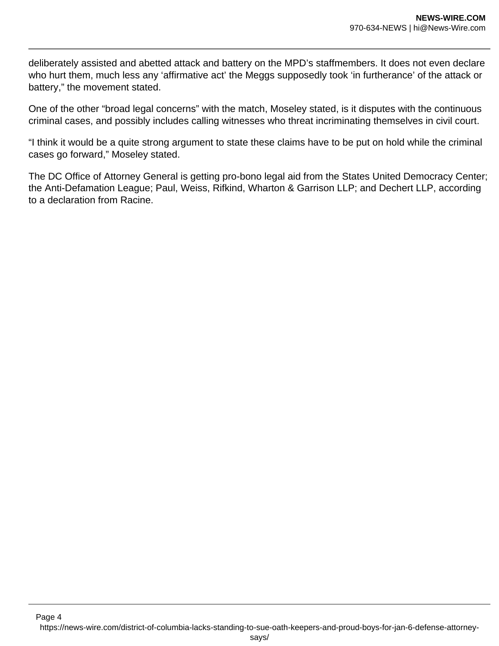deliberately assisted and abetted attack and battery on the MPD's staffmembers. It does not even declare who hurt them, much less any 'affirmative act' the Meggs supposedly took 'in furtherance' of the attack or battery," the movement stated.

One of the other "broad legal concerns" with the match, Moseley stated, is it disputes with the continuous criminal cases, and possibly includes calling witnesses who threat incriminating themselves in civil court.

"I think it would be a quite strong argument to state these claims have to be put on hold while the criminal cases go forward," Moseley stated.

The DC Office of Attorney General is getting pro-bono legal aid from the States United Democracy Center; the Anti-Defamation League; Paul, Weiss, Rifkind, Wharton & Garrison LLP; and Dechert LLP, according to a declaration from Racine.